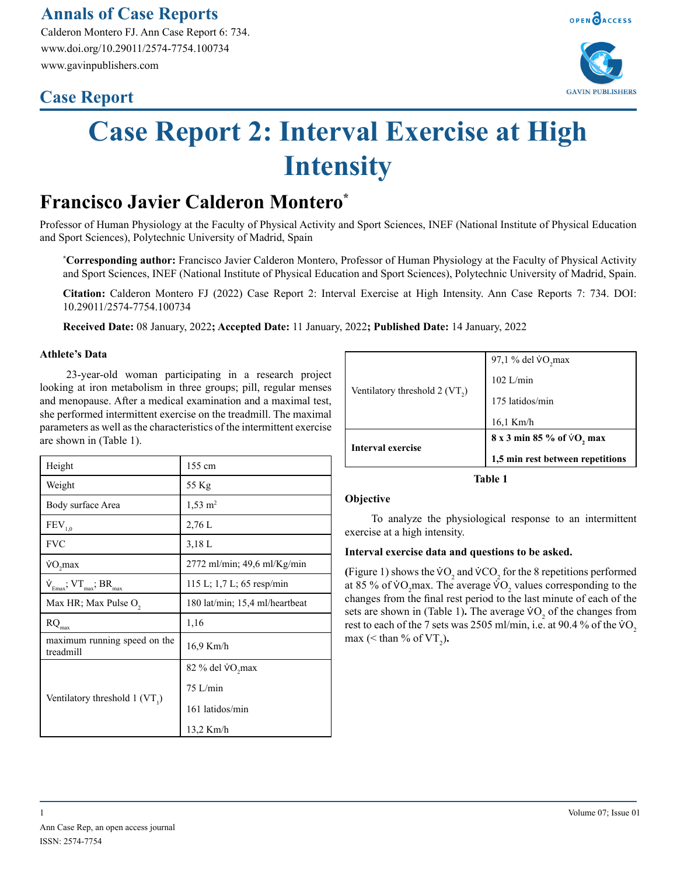### **Annals of Case Reports**

Calderon Montero FJ. Ann Case Report 6: 734. www.doi.org/10.29011/2574-7754.100734 www.gavinpublishers.com

## **Case Report**



OPEN OACCESS

# **Case Report 2: Interval Exercise at High Intensity**

## **Francisco Javier Calderon Montero\***

Professor of Human Physiology at the Faculty of Physical Activity and Sport Sciences, INEF (National Institute of Physical Education and Sport Sciences), Polytechnic University of Madrid, Spain

**\* Corresponding author:** Francisco Javier Calderon Montero, Professor of Human Physiology at the Faculty of Physical Activity and Sport Sciences, INEF (National Institute of Physical Education and Sport Sciences), Polytechnic University of Madrid, Spain.

**Citation:** Calderon Montero FJ (2022) Case Report 2: Interval Exercise at High Intensity. Ann Case Reports 7: 734. DOI: 10.29011/2574-7754.100734

**Received Date:** 08 January, 2022**; Accepted Date:** 11 January, 2022**; Published Date:** 14 January, 2022

#### **Athlete's Data**

23-year-old woman participating in a research project looking at iron metabolism in three groups; pill, regular menses and menopause. After a medical examination and a maximal test, she performed intermittent exercise on the treadmill. The maximal parameters as well as the characteristics of the intermittent exercise are shown in (Table 1).

| Height                                     | 155 cm                         |
|--------------------------------------------|--------------------------------|
| Weight                                     | 55 Kg                          |
| Body surface Area                          | $1,53 \; \mathrm{m}^2$         |
| $\mathrm{FEV}_{1,0}$                       | 2,76L                          |
| <b>FVC</b>                                 | $3,18$ L                       |
| VO, max                                    | $2772$ ml/min; 49,6 ml/Kg/min  |
| $\dot{V}_{Emax}$ , $VT_{max}$ , $BR_{max}$ | 115 L; 1,7 L; 65 resp/min      |
| Max HR; Max Pulse O <sub>2</sub>           | 180 lat/min; 15,4 ml/heartbeat |
| $\mathrm{RQ}_{\mathrm{max}}$               | 1,16                           |
| maximum running speed on the<br>treadmill  | 16,9 Km/h                      |
| Ventilatory threshold $1 (VT_1)$           | 82 % del VO <sub>2</sub> max   |
|                                            | $75$ L/min                     |
|                                            | 161 latidos/min                |
|                                            | 13,2 Km/h                      |

|                                  | 97,1 % del VO <sub>2</sub> max     |
|----------------------------------|------------------------------------|
| Ventilatory threshold $2 (VT_2)$ | $102$ L/min                        |
|                                  | 175 latidos/min                    |
|                                  | $16.1$ Km/h                        |
|                                  | $8x3$ min 85 % of $\dot{V}O$ , max |
| Interval exercise                | 1,5 min rest between repetitions   |

**Table 1**

#### **Objective**

To analyze the physiological response to an intermittent exercise at a high intensity.

#### **Interval exercise data and questions to be asked.**

(Figure 1) shows the  $VO_2$  and  $VCO_2$  for the 8 repetitions performed at 85 % of  $VO_2$  max. The average  $VO_2$  values corresponding to the changes from the final rest period to the last minute of each of the sets are shown in (Table 1). The average  $\sqrt{V}$  of the changes from rest to each of the 7 sets was 2505 ml/min, i.e. at 90.4 % of the  $\sqrt{v}$ max ( $\le$  than % of VT<sub>2</sub>).